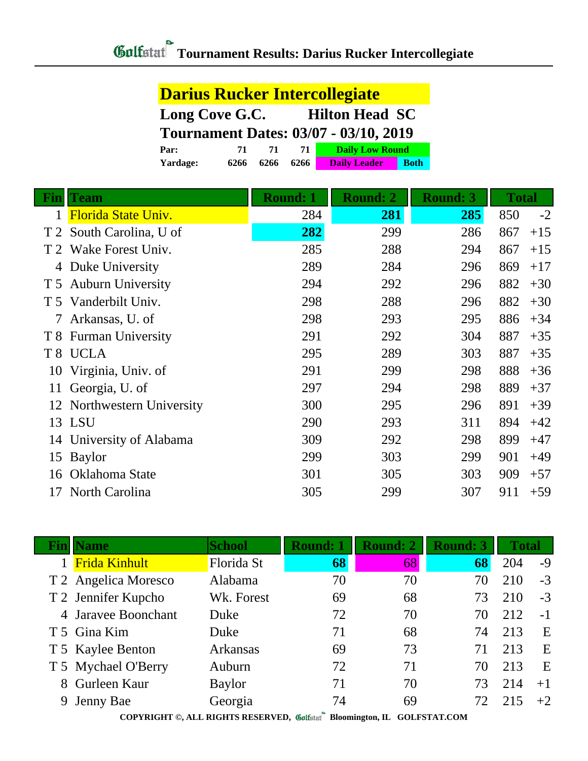| <b>Darius Rucker Intercollegiate</b>         |                                          |      |      |                     |             |  |
|----------------------------------------------|------------------------------------------|------|------|---------------------|-------------|--|
| <b>Hilton Head SC</b><br>Long Cove G.C.      |                                          |      |      |                     |             |  |
| <b>Tournament Dates: 03/07 - 03/10, 2019</b> |                                          |      |      |                     |             |  |
| Par:                                         | <b>Daily Low Round</b><br>71<br>71<br>71 |      |      |                     |             |  |
| Yardage:                                     | 6266                                     | 6266 | 6266 | <b>Daily Leader</b> | <b>Both</b> |  |

| Fin | <b>Team</b>                | <b>Round: 1</b> | <b>Round: 2</b> | <b>Round: 3</b> | <b>Total</b> |
|-----|----------------------------|-----------------|-----------------|-----------------|--------------|
|     | <b>Florida State Univ.</b> | 284             | 281             | 285             | $-2$<br>850  |
|     | T 2 South Carolina, U of   | 282             | 299             | 286             | $+15$<br>867 |
|     | T 2 Wake Forest Univ.      | 285             | 288             | 294             | 867<br>$+15$ |
|     | 4 Duke University          | 289             | 284             | 296             | 869<br>$+17$ |
|     | T 5 Auburn University      | 294             | 292             | 296             | 882<br>$+30$ |
|     | T 5 Vanderbilt Univ.       | 298             | 288             | 296             | 882<br>$+30$ |
| 7   | Arkansas, U. of            | 298             | 293             | 295             | 886<br>$+34$ |
|     | T 8 Furman University      | 291             | 292             | 304             | 887<br>$+35$ |
|     | T 8 UCLA                   | 295             | 289             | 303             | 887<br>$+35$ |
| 10  | Virginia, Univ. of         | 291             | 299             | 298             | 888<br>$+36$ |
| 11  | Georgia, U. of             | 297             | 294             | 298             | 889<br>$+37$ |
|     | 12 Northwestern University | 300             | 295             | 296             | 891<br>$+39$ |
|     | 13 LSU                     | 290             | 293             | 311             | 894<br>$+42$ |
|     | 14 University of Alabama   | 309             | 292             | 298             | 899<br>$+47$ |
|     | 15 Baylor                  | 299             | 303             | 299             | 901<br>$+49$ |
| 16  | Oklahoma State             | 301             | 305             | 303             | 909<br>$+57$ |
| 17  | North Carolina             | 305             | 299             | 307             | 911<br>$+59$ |
|     |                            |                 |                 |                 |              |

|                                                                           | <b>Name</b>          | <b>School</b> | <b>Round: 1</b> | <b>Round: 2</b> | <b>Round: 3</b> | <b>Total</b> |      |
|---------------------------------------------------------------------------|----------------------|---------------|-----------------|-----------------|-----------------|--------------|------|
|                                                                           | <b>Frida Kinhult</b> | Florida St    | 68              | 68              | 68              | 204          | $-9$ |
|                                                                           | T 2 Angelica Moresco | Alabama       | 70              | 70              | 70              | 210          | $-3$ |
|                                                                           | T 2 Jennifer Kupcho  | Wk. Forest    | 69              | 68              | 73              | 210          | $-3$ |
|                                                                           | 4 Jaravee Boonchant  | Duke          | 72              | 70              | 70              | 212          | $-1$ |
|                                                                           | T 5 Gina Kim         | Duke          | 71              | 68              | 74              | 213          | E    |
|                                                                           | T 5 Kaylee Benton    | Arkansas      | 69              | 73              | 71              | 213          | E    |
|                                                                           | T 5 Mychael O'Berry  | Auburn        | 72              | 71              | 70              | 213          | E    |
| 8                                                                         | Gurleen Kaur         | <b>Baylor</b> | 71              | 70              | 73              | 214          | $+1$ |
| 9                                                                         | Jenny Bae            | Georgia       | 74              | 69              | 72              | 215          | $+2$ |
| COPYRIGHT ©, ALL RIGHTS RESERVED, Collectarl Bloomington, IL GOLFSTAT.COM |                      |               |                 |                 |                 |              |      |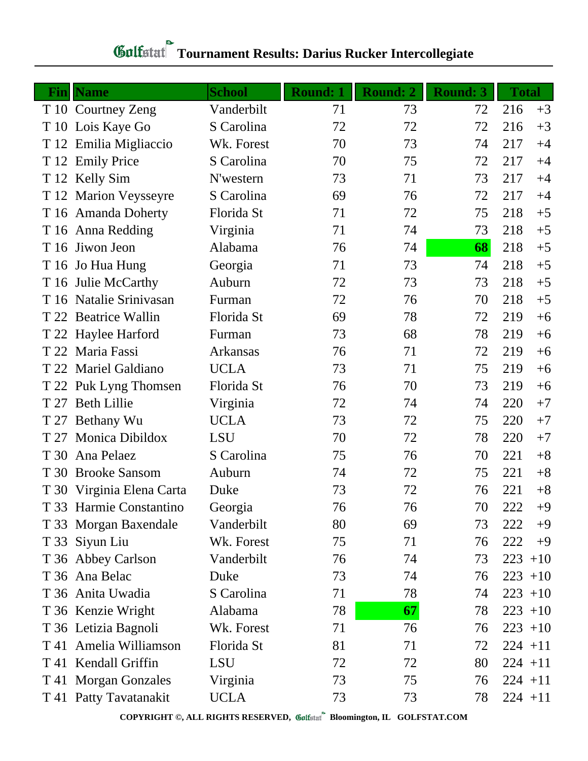| <b>Fin</b> | <b>Name</b>               | <b>School</b>   | <b>Round: 1</b> | <b>Round: 2</b> | <b>Round: 3</b> | <b>Total</b> |
|------------|---------------------------|-----------------|-----------------|-----------------|-----------------|--------------|
|            | T 10 Courtney Zeng        | Vanderbilt      | 71              | 73              | 72              | 216<br>$+3$  |
|            | T 10 Lois Kaye Go         | S Carolina      | 72              | 72              | 72              | 216<br>$+3$  |
|            | T 12 Emilia Migliaccio    | Wk. Forest      | 70              | 73              | 74              | 217<br>$+4$  |
|            | T 12 Emily Price          | S Carolina      | 70              | 75              | 72              | 217<br>$+4$  |
|            | T 12 Kelly Sim            | N'western       | 73              | 71              | 73              | 217<br>$+4$  |
|            | T 12 Marion Veysseyre     | S Carolina      | 69              | 76              | 72              | 217<br>$+4$  |
|            | T 16 Amanda Doherty       | Florida St      | 71              | 72              | 75              | 218<br>$+5$  |
|            | T 16 Anna Redding         | Virginia        | 71              | 74              | 73              | 218<br>$+5$  |
|            | T 16 Jiwon Jeon           | Alabama         | 76              | 74              | 68              | 218<br>$+5$  |
|            | T 16 Jo Hua Hung          | Georgia         | 71              | 73              | 74              | 218<br>$+5$  |
|            | T 16 Julie McCarthy       | Auburn          | 72              | 73              | 73              | 218<br>$+5$  |
|            | T 16 Natalie Srinivasan   | Furman          | 72              | 76              | 70              | 218<br>$+5$  |
|            | T 22 Beatrice Wallin      | Florida St      | 69              | 78              | 72              | 219<br>$+6$  |
|            | T 22 Haylee Harford       | Furman          | 73              | 68              | 78              | 219<br>$+6$  |
|            | T 22 Maria Fassi          | <b>Arkansas</b> | 76              | 71              | 72              | 219<br>$+6$  |
|            | T 22 Mariel Galdiano      | <b>UCLA</b>     | 73              | 71              | 75              | 219<br>$+6$  |
|            | T 22 Puk Lyng Thomsen     | Florida St      | 76              | 70              | 73              | 219<br>$+6$  |
|            | T 27 Beth Lillie          | Virginia        | 72              | 74              | 74              | 220<br>$+7$  |
|            | T 27 Bethany Wu           | <b>UCLA</b>     | 73              | 72              | 75              | $+7$<br>220  |
| T 27       | <b>Monica Dibildox</b>    | <b>LSU</b>      | 70              | 72              | 78              | 220<br>$+7$  |
| T 30       | Ana Pelaez                | S Carolina      | 75              | 76              | 70              | $+8$<br>221  |
|            | T 30 Brooke Sansom        | Auburn          | 74              | 72              | 75              | 221<br>$+8$  |
|            | T 30 Virginia Elena Carta | Duke            | 73              | 72              | 76              | $+8$<br>221  |
|            | T 33 Harmie Constantino   | Georgia         | 76              | 76              | 70              | 222<br>$+9$  |
|            | T 33 Morgan Baxendale     | Vanderbilt      | 80              | 69              | 73              | 222<br>$+9$  |
|            | T 33 Siyun Liu            | Wk. Forest      | 75              | 71              | 76              | 222<br>$+9$  |
|            | T 36 Abbey Carlson        | Vanderbilt      | 76              | 74              | 73              | 223<br>$+10$ |
|            | T 36 Ana Belac            | Duke            | 73              | 74              | 76              | $223 + 10$   |
|            | T 36 Anita Uwadia         | S Carolina      | 71              | 78              | 74              | $223 + 10$   |
|            | T 36 Kenzie Wright        | Alabama         | 78              | 67              | 78              | $223 + 10$   |
|            | T 36 Letizia Bagnoli      | Wk. Forest      | 71              | 76              | 76              | $223 + 10$   |
|            | T 41 Amelia Williamson    | Florida St      | 81              | 71              | 72              | $224 + 11$   |
|            | T 41 Kendall Griffin      | <b>LSU</b>      | 72              | 72              | 80              | $224 + 11$   |
|            | T 41 Morgan Gonzales      | Virginia        | 73              | 75              | 76              | $224 + 11$   |
|            | T 41 Patty Tavatanakit    | <b>UCLA</b>     | 73              | 73              | 78              | $224 + 11$   |

## **Gulfatat** Tournament Results: Darius Rucker Intercollegiate

**COPYRIGHT ©, ALL RIGHTS RESERVED, Bloomington, IL GOLFSTAT.COM**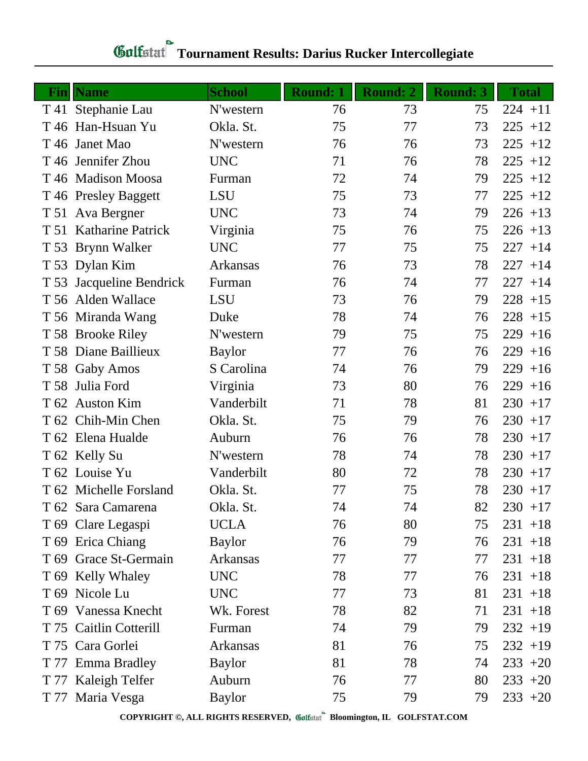| Fin  | <b>Name</b>              | <b>School</b> | <b>Round: 1</b> | <b>Round: 2</b> | <b>Round: 3</b> | <b>Total</b> |
|------|--------------------------|---------------|-----------------|-----------------|-----------------|--------------|
|      | T 41 Stephanie Lau       | N'western     | 76              | 73              | 75              | $224 + 11$   |
|      | T 46 Han-Hsuan Yu        | Okla. St.     | 75              | 77              | 73              | 225<br>$+12$ |
| T 46 | Janet Mao                | N'western     | 76              | 76              | 73              | 225<br>$+12$ |
|      | T 46 Jennifer Zhou       | <b>UNC</b>    | 71              | 76              | 78              | 225<br>$+12$ |
|      | T 46 Madison Moosa       | Furman        | 72              | 74              | 79              | 225<br>$+12$ |
|      | T 46 Presley Baggett     | <b>LSU</b>    | 75              | 73              | 77              | $225 + 12$   |
|      | T 51 Ava Bergner         | <b>UNC</b>    | 73              | 74              | 79              | $226 + 13$   |
| T 51 | <b>Katharine Patrick</b> | Virginia      | 75              | 76              | 75              | $226 + 13$   |
|      | T 53 Brynn Walker        | <b>UNC</b>    | 77              | 75              | 75              | 227<br>$+14$ |
|      | T 53 Dylan Kim           | Arkansas      | 76              | 73              | 78              | 227<br>$+14$ |
| T 53 | Jacqueline Bendrick      | Furman        | 76              | 74              | 77              | 227<br>$+14$ |
|      | T 56 Alden Wallace       | <b>LSU</b>    | 73              | 76              | 79              | $228 + 15$   |
|      | T 56 Miranda Wang        | Duke          | 78              | 74              | 76              | $228 + 15$   |
|      | T 58 Brooke Riley        | N'western     | 79              | 75              | 75              | 229<br>$+16$ |
|      | T 58 Diane Baillieux     | <b>Baylor</b> | 77              | 76              | 76              | 229<br>$+16$ |
|      | T 58 Gaby Amos           | S Carolina    | 74              | 76              | 79              | 229<br>$+16$ |
| T 58 | Julia Ford               | Virginia      | 73              | 80              | 76              | 229<br>$+16$ |
|      | T 62 Auston Kim          | Vanderbilt    | 71              | 78              | 81              | $230 + 17$   |
|      | T 62 Chih-Min Chen       | Okla. St.     | 75              | 79              | 76              | $230 + 17$   |
|      | T 62 Elena Hualde        | Auburn        | 76              | 76              | 78              | $230 + 17$   |
|      | T 62 Kelly Su            | N'western     | 78              | 74              | 78              | $230 + 17$   |
|      | T 62 Louise Yu           | Vanderbilt    | 80              | 72              | 78              | $230 + 17$   |
|      | T 62 Michelle Forsland   | Okla. St.     | 77              | 75              | 78              | $230 + 17$   |
|      | T 62 Sara Camarena       | Okla. St.     | 74              | 74              | 82              | $230 + 17$   |
|      | T 69 Clare Legaspi       | <b>UCLA</b>   | 76              | 80              | 75              | $231 + 18$   |
|      | T 69 Erica Chiang        | <b>Baylor</b> | 76              | 79              | 76              | $231 + 18$   |
|      | T 69 Grace St-Germain    | Arkansas      | 77              | 77              | 77              | $231 + 18$   |
|      | T 69 Kelly Whaley        | <b>UNC</b>    | 78              | 77              | 76              | $231 + 18$   |
|      | T 69 Nicole Lu           | <b>UNC</b>    | 77              | 73              | 81              | $231 + 18$   |
|      | T 69 Vanessa Knecht      | Wk. Forest    | 78              | 82              | 71              | $231 + 18$   |
|      | T 75 Caitlin Cotterill   | Furman        | 74              | 79              | 79              | $232 + 19$   |
|      | T 75 Cara Gorlei         | Arkansas      | 81              | 76              | 75              | $232 + 19$   |
|      | T 77 Emma Bradley        | <b>Baylor</b> | 81              | 78              | 74              | $233 + 20$   |
| T 77 | Kaleigh Telfer           | Auburn        | 76              | 77              | 80              | $233 + 20$   |
|      | T 77 Maria Vesga         | <b>Baylor</b> | 75              | 79              | 79              | $233 + 20$   |

## **Gulfatat** Tournament Results: Darius Rucker Intercollegiate